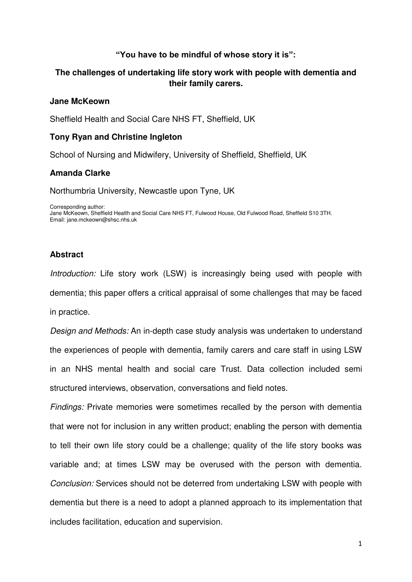# **"You have to be mindful of whose story it is":**

# **The challenges of undertaking life story work with people with dementia and their family carers.**

### **Jane McKeown**

Sheffield Health and Social Care NHS FT, Sheffield, UK

## **Tony Ryan and Christine Ingleton**

School of Nursing and Midwifery, University of Sheffield, Sheffield, UK

## **Amanda Clarke**

Northumbria University, Newcastle upon Tyne, UK

Corresponding author: Jane McKeown, Sheffield Health and Social Care NHS FT, Fulwood House, Old Fulwood Road, Sheffield S10 3TH. Email: jane.mckeown@shsc.nhs.uk

# **Abstract**

*Introduction:* Life story work (LSW) is increasingly being used with people with dementia; this paper offers a critical appraisal of some challenges that may be faced in practice.

*Design and Methods:* An in-depth case study analysis was undertaken to understand the experiences of people with dementia, family carers and care staff in using LSW in an NHS mental health and social care Trust. Data collection included semi structured interviews, observation, conversations and field notes.

*Findings:* Private memories were sometimes recalled by the person with dementia that were not for inclusion in any written product; enabling the person with dementia to tell their own life story could be a challenge; quality of the life story books was variable and; at times LSW may be overused with the person with dementia. *Conclusion:* Services should not be deterred from undertaking LSW with people with dementia but there is a need to adopt a planned approach to its implementation that includes facilitation, education and supervision.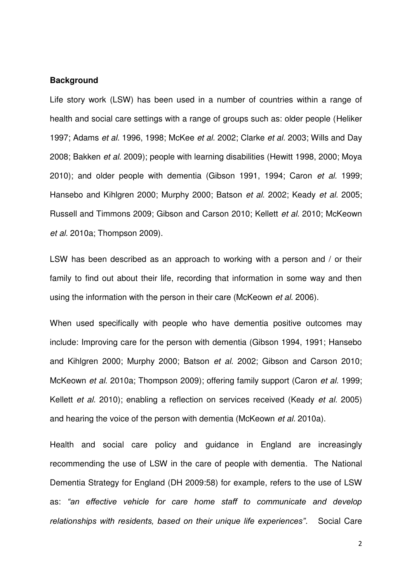# **Background**

Life story work (LSW) has been used in a number of countries within a range of health and social care settings with a range of groups such as: older people (Heliker 1997; Adams *et al.* 1996, 1998; McKee *et al.* 2002; Clarke *et al.* 2003; Wills and Day 2008; Bakken *et al*. 2009); people with learning disabilities (Hewitt 1998, 2000; Moya 2010); and older people with dementia (Gibson 1991, 1994; Caron *et al.* 1999; Hansebo and Kihlgren 2000; Murphy 2000; Batson *et al*. 2002; Keady *et al.* 2005; Russell and Timmons 2009; Gibson and Carson 2010; Kellett *et al*. 2010; McKeown *et al.* 2010a; Thompson 2009).

LSW has been described as an approach to working with a person and / or their family to find out about their life, recording that information in some way and then using the information with the person in their care (McKeown *et al*. 2006).

When used specifically with people who have dementia positive outcomes may include: Improving care for the person with dementia (Gibson 1994, 1991; Hansebo and Kihlgren 2000; Murphy 2000; Batson *et al*. 2002; Gibson and Carson 2010; McKeown *et al*. 2010a; Thompson 2009); offering family support (Caron *et al.* 1999; Kellett *et al*. 2010); enabling a reflection on services received (Keady *et al.* 2005) and hearing the voice of the person with dementia (McKeown *et al.* 2010a).

Health and social care policy and guidance in England are increasingly recommending the use of LSW in the care of people with dementia. The National Dementia Strategy for England (DH 2009:58) for example, refers to the use of LSW as: *"an effective vehicle for care home staff to communicate and develop relationships with residents, based on their unique life experiences"*. Social Care

2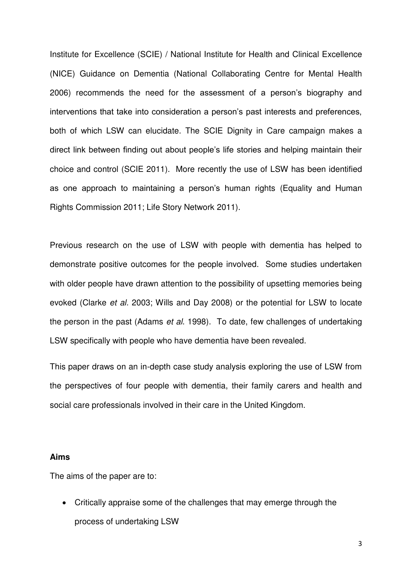Institute for Excellence (SCIE) / National Institute for Health and Clinical Excellence (NICE) Guidance on Dementia (National Collaborating Centre for Mental Health 2006) recommends the need for the assessment of a person's biography and interventions that take into consideration a person's past interests and preferences, both of which LSW can elucidate. The SCIE Dignity in Care campaign makes a direct link between finding out about people's life stories and helping maintain their choice and control (SCIE 2011). More recently the use of LSW has been identified as one approach to maintaining a person's human rights (Equality and Human Rights Commission 2011; Life Story Network 2011).

Previous research on the use of LSW with people with dementia has helped to demonstrate positive outcomes for the people involved. Some studies undertaken with older people have drawn attention to the possibility of upsetting memories being evoked (Clarke *et al.* 2003; Wills and Day 2008) or the potential for LSW to locate the person in the past (Adams *et al*. 1998). To date, few challenges of undertaking LSW specifically with people who have dementia have been revealed.

This paper draws on an in-depth case study analysis exploring the use of LSW from the perspectives of four people with dementia, their family carers and health and social care professionals involved in their care in the United Kingdom.

#### **Aims**

The aims of the paper are to:

 Critically appraise some of the challenges that may emerge through the process of undertaking LSW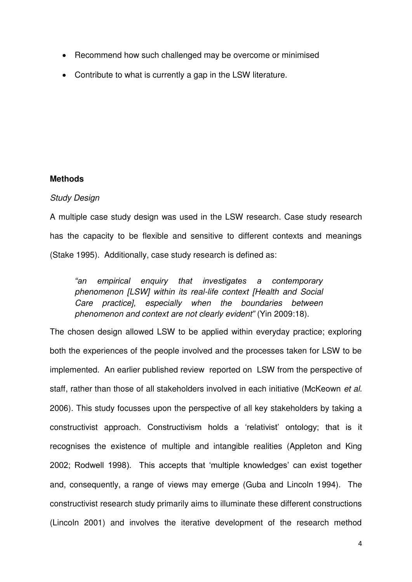- Recommend how such challenged may be overcome or minimised
- Contribute to what is currently a gap in the LSW literature.

# **Methods**

# *Study Design*

A multiple case study design was used in the LSW research. Case study research has the capacity to be flexible and sensitive to different contexts and meanings (Stake 1995). Additionally, case study research is defined as:

*"an empirical enquiry that investigates a contemporary phenomenon [LSW] within its real-life context [Health and Social Care practice], especially when the boundaries between phenomenon and context are not clearly evident"* (Yin 2009:18).

The chosen design allowed LSW to be applied within everyday practice; exploring both the experiences of the people involved and the processes taken for LSW to be implemented. An earlier published review reported on LSW from the perspective of staff, rather than those of all stakeholders involved in each initiative (McKeown *et al*. 2006). This study focusses upon the perspective of all key stakeholders by taking a constructivist approach. Constructivism holds a 'relativist' ontology; that is it recognises the existence of multiple and intangible realities (Appleton and King 2002; Rodwell 1998). This accepts that 'multiple knowledges' can exist together and, consequently, a range of views may emerge (Guba and Lincoln 1994). The constructivist research study primarily aims to illuminate these different constructions (Lincoln 2001) and involves the iterative development of the research method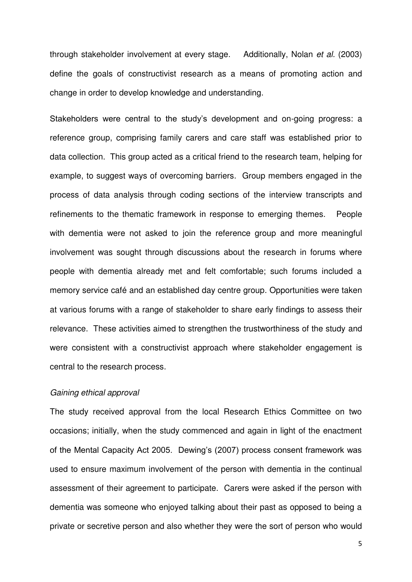through stakeholder involvement at every stage. Additionally, Nolan *et al.* (2003) define the goals of constructivist research as a means of promoting action and change in order to develop knowledge and understanding.

Stakeholders were central to the study's development and on-going progress: a reference group, comprising family carers and care staff was established prior to data collection. This group acted as a critical friend to the research team, helping for example, to suggest ways of overcoming barriers. Group members engaged in the process of data analysis through coding sections of the interview transcripts and refinements to the thematic framework in response to emerging themes. People with dementia were not asked to join the reference group and more meaningful involvement was sought through discussions about the research in forums where people with dementia already met and felt comfortable; such forums included a memory service café and an established day centre group. Opportunities were taken at various forums with a range of stakeholder to share early findings to assess their relevance. These activities aimed to strengthen the trustworthiness of the study and were consistent with a constructivist approach where stakeholder engagement is central to the research process.

# *Gaining ethical approval*

The study received approval from the local Research Ethics Committee on two occasions; initially, when the study commenced and again in light of the enactment of the Mental Capacity Act 2005. Dewing's (2007) process consent framework was used to ensure maximum involvement of the person with dementia in the continual assessment of their agreement to participate. Carers were asked if the person with dementia was someone who enjoyed talking about their past as opposed to being a private or secretive person and also whether they were the sort of person who would

5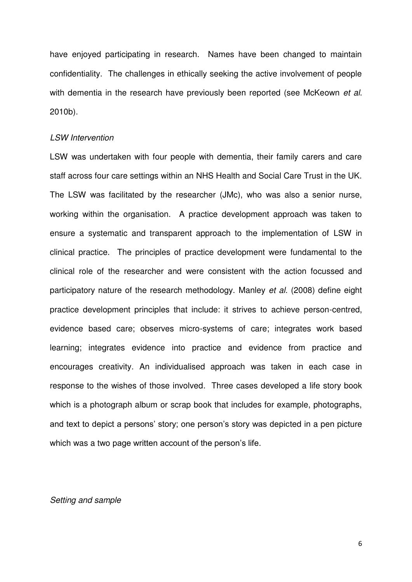have enjoyed participating in research. Names have been changed to maintain confidentiality. The challenges in ethically seeking the active involvement of people with dementia in the research have previously been reported (see McKeown *et al*. 2010b).

#### *LSW Intervention*

LSW was undertaken with four people with dementia, their family carers and care staff across four care settings within an NHS Health and Social Care Trust in the UK. The LSW was facilitated by the researcher (JMc), who was also a senior nurse, working within the organisation. A practice development approach was taken to ensure a systematic and transparent approach to the implementation of LSW in clinical practice. The principles of practice development were fundamental to the clinical role of the researcher and were consistent with the action focussed and participatory nature of the research methodology. Manley *et al.* (2008) define eight practice development principles that include: it strives to achieve person-centred, evidence based care; observes micro-systems of care; integrates work based learning; integrates evidence into practice and evidence from practice and encourages creativity. An individualised approach was taken in each case in response to the wishes of those involved. Three cases developed a life story book which is a photograph album or scrap book that includes for example, photographs, and text to depict a persons' story; one person's story was depicted in a pen picture which was a two page written account of the person's life.

#### *Setting and sample*

6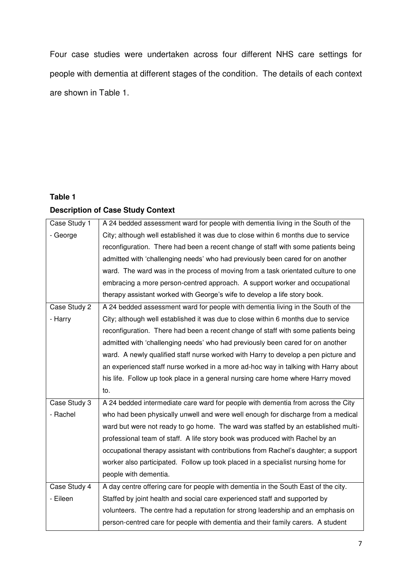Four case studies were undertaken across four different NHS care settings for people with dementia at different stages of the condition. The details of each context are shown in Table 1.

# **Table 1**

# **Description of Case Study Context**

| Case Study 1 | A 24 bedded assessment ward for people with dementia living in the South of the     |
|--------------|-------------------------------------------------------------------------------------|
| - George     | City; although well established it was due to close within 6 months due to service  |
|              | reconfiguration. There had been a recent change of staff with some patients being   |
|              | admitted with 'challenging needs' who had previously been cared for on another      |
|              | ward. The ward was in the process of moving from a task orientated culture to one   |
|              | embracing a more person-centred approach. A support worker and occupational         |
|              | therapy assistant worked with George's wife to develop a life story book.           |
| Case Study 2 | A 24 bedded assessment ward for people with dementia living in the South of the     |
| - Harry      | City; although well established it was due to close within 6 months due to service  |
|              | reconfiguration. There had been a recent change of staff with some patients being   |
|              | admitted with 'challenging needs' who had previously been cared for on another      |
|              | ward. A newly qualified staff nurse worked with Harry to develop a pen picture and  |
|              | an experienced staff nurse worked in a more ad-hoc way in talking with Harry about  |
|              | his life. Follow up took place in a general nursing care home where Harry moved     |
|              | to.                                                                                 |
| Case Study 3 | A 24 bedded intermediate care ward for people with dementia from across the City    |
| - Rachel     | who had been physically unwell and were well enough for discharge from a medical    |
|              | ward but were not ready to go home. The ward was staffed by an established multi-   |
|              | professional team of staff. A life story book was produced with Rachel by an        |
|              | occupational therapy assistant with contributions from Rachel's daughter; a support |
|              | worker also participated. Follow up took placed in a specialist nursing home for    |
|              | people with dementia.                                                               |
| Case Study 4 | A day centre offering care for people with dementia in the South East of the city.  |
| - Eileen     | Staffed by joint health and social care experienced staff and supported by          |
|              | volunteers. The centre had a reputation for strong leadership and an emphasis on    |
|              |                                                                                     |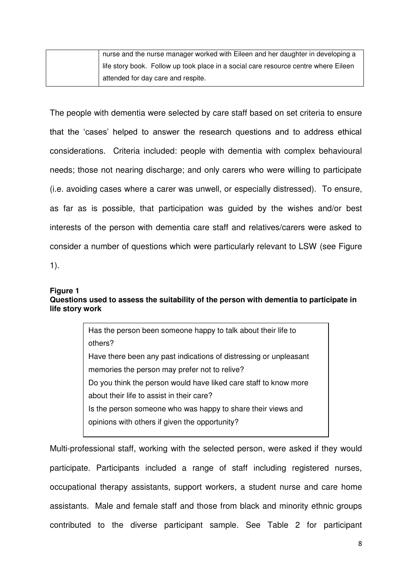| nurse and the nurse manager worked with Eileen and her daughter in developing a     |
|-------------------------------------------------------------------------------------|
| life story book. Follow up took place in a social care resource centre where Eileen |
| attended for day care and respite.                                                  |

The people with dementia were selected by care staff based on set criteria to ensure that the 'cases' helped to answer the research questions and to address ethical considerations. Criteria included: people with dementia with complex behavioural needs; those not nearing discharge; and only carers who were willing to participate (i.e. avoiding cases where a carer was unwell, or especially distressed). To ensure, as far as is possible, that participation was guided by the wishes and/or best interests of the person with dementia care staff and relatives/carers were asked to consider a number of questions which were particularly relevant to LSW (see Figure 1).

# **Figure 1**

# **Questions used to assess the suitability of the person with dementia to participate in life story work**

Has the person been someone happy to talk about their life to others? Have there been any past indications of distressing or unpleasant memories the person may prefer not to relive? Do you think the person would have liked care staff to know more about their life to assist in their care? Is the person someone who was happy to share their views and opinions with others if given the opportunity?

Multi-professional staff, working with the selected person, were asked if they would participate. Participants included a range of staff including registered nurses, occupational therapy assistants, support workers, a student nurse and care home assistants. Male and female staff and those from black and minority ethnic groups contributed to the diverse participant sample. See Table 2 for participant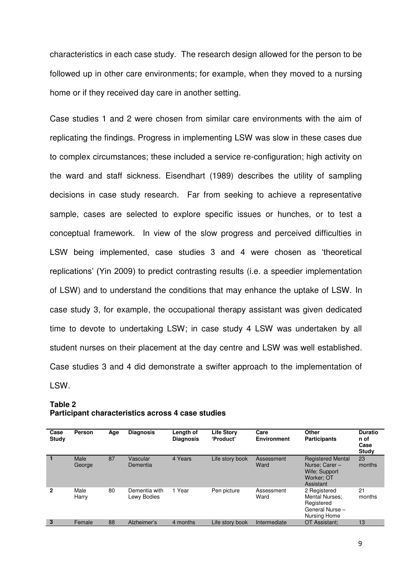characteristics in each case study. The research design allowed for the person to be followed up in other care environments; for example, when they moved to a nursing home or if they received day care in another setting.

Case studies 1 and 2 were chosen from similar care environments with the aim of replicating the findings. Progress in implementing LSW was slow in these cases due to complex circumstances; these included a service re-configuration; high activity on the ward and staff sickness. Eisendhart (1989) describes the utility of sampling decisions in case study research. Far from seeking to achieve a representative sample, cases are selected to explore specific issues or hunches, or to test a conceptual framework. In view of the slow progress and perceived difficulties in LSW being implemented, case studies 3 and 4 were chosen as 'theoretical replications' (Yin 2009) to predict contrasting results (i.e. a speedier implementation of LSW) and to understand the conditions that may enhance the uptake of LSW. In case study 3, for example, the occupational therapy assistant was given dedicated time to devote to undertaking LSW; in case study 4 LSW was undertaken by all student nurses on their placement at the day centre and LSW was well established. Case studies 3 and 4 did demonstrate a swifter approach to the implementation of LSW.

## **Table 2 Participant characteristics across 4 case studies**

| Case<br>Study | Person         | Age | <b>Diagnosis</b>             | Length of<br><b>Diagnosis</b> | <b>Life Story</b><br>'Product' | Care<br><b>Environment</b> | <b>Other</b><br><b>Participants</b>                                                    | <b>Duratio</b><br>n of<br>Case<br>Study |
|---------------|----------------|-----|------------------------------|-------------------------------|--------------------------------|----------------------------|----------------------------------------------------------------------------------------|-----------------------------------------|
|               | Male<br>George | 87  | Vascular<br>Dementia         | 4 Years                       | Life story book                | Assessment<br>Ward         | <b>Registered Mental</b><br>Nurse: Carer -<br>Wife; Support<br>Worker: OT<br>Assistant | 23<br>months                            |
| 2             | Male<br>Harry  | 80  | Dementia with<br>Lewy Bodies | l Year                        | Pen picture                    | Assessment<br>Ward         | 2 Registered<br><b>Mental Nurses:</b><br>Registered<br>General Nurse -<br>Nursing Home | 21<br>months                            |
| 3             | Female         | 88  | Alzheimer's                  | 4 months                      | Life story book                | Intermediate               | OT Assistant:                                                                          | 13                                      |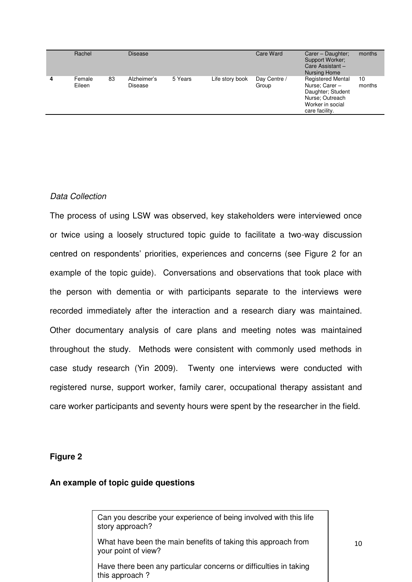| Rachel           |    | <b>Disease</b>         |         |                 | Care Ward             | Carer - Daughter;<br>Support Worker;<br>Care Assistant -<br><b>Nursing Home</b>                                          | months       |
|------------------|----|------------------------|---------|-----------------|-----------------------|--------------------------------------------------------------------------------------------------------------------------|--------------|
| Female<br>Eileen | 83 | Alzheimer's<br>Disease | 5 Years | Life story book | Day Centre /<br>Group | <b>Registered Mental</b><br>Nurse: Carer -<br>Daughter; Student<br>Nurse: Outreach<br>Worker in social<br>care facility. | 10<br>months |

# *Data Collection*

The process of using LSW was observed, key stakeholders were interviewed once or twice using a loosely structured topic guide to facilitate a two-way discussion centred on respondents' priorities, experiences and concerns (see Figure 2 for an example of the topic guide). Conversations and observations that took place with the person with dementia or with participants separate to the interviews were recorded immediately after the interaction and a research diary was maintained. Other documentary analysis of care plans and meeting notes was maintained throughout the study. Methods were consistent with commonly used methods in case study research (Yin 2009). Twenty one interviews were conducted with registered nurse, support worker, family carer, occupational therapy assistant and care worker participants and seventy hours were spent by the researcher in the field.

# **Figure 2**

# **An example of topic guide questions**

Can you describe your experience of being involved with this life story approach?

What have been the main benefits of taking this approach from your point of view?

Have there been any particular concerns or difficulties in taking this approach ?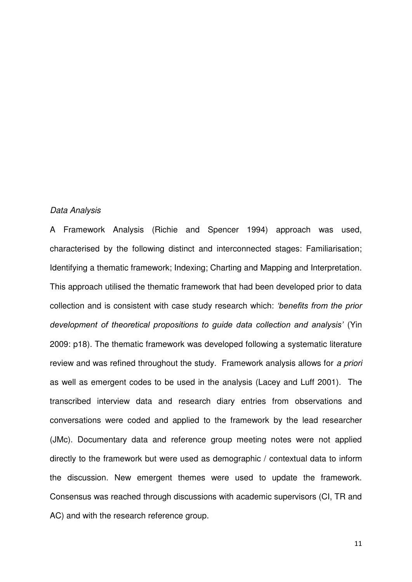#### *Data Analysis*

A Framework Analysis (Richie and Spencer 1994) approach was used, characterised by the following distinct and interconnected stages: Familiarisation; Identifying a thematic framework; Indexing; Charting and Mapping and Interpretation. This approach utilised the thematic framework that had been developed prior to data collection and is consistent with case study research which: *'benefits from the prior development of theoretical propositions to guide data collection and analysis'* (Yin 2009: p18). The thematic framework was developed following a systematic literature review and was refined throughout the study. Framework analysis allows for *a priori*  as well as emergent codes to be used in the analysis (Lacey and Luff 2001). The transcribed interview data and research diary entries from observations and conversations were coded and applied to the framework by the lead researcher (JMc). Documentary data and reference group meeting notes were not applied directly to the framework but were used as demographic / contextual data to inform the discussion. New emergent themes were used to update the framework. Consensus was reached through discussions with academic supervisors (CI, TR and AC) and with the research reference group.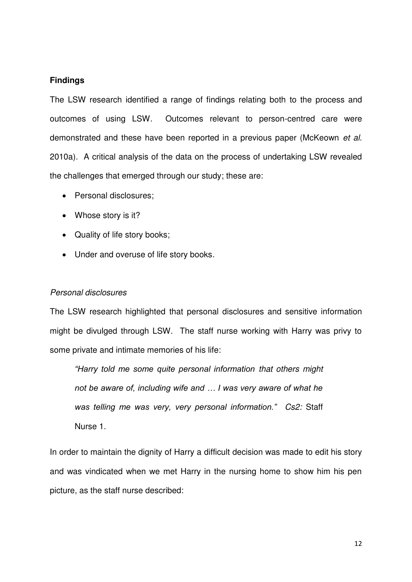# **Findings**

The LSW research identified a range of findings relating both to the process and outcomes of using LSW. Outcomes relevant to person-centred care were demonstrated and these have been reported in a previous paper (McKeown *et al*. 2010a). A critical analysis of the data on the process of undertaking LSW revealed the challenges that emerged through our study; these are:

- Personal disclosures:
- Whose story is it?
- Quality of life story books;
- Under and overuse of life story books.

# *Personal disclosures*

The LSW research highlighted that personal disclosures and sensitive information might be divulged through LSW. The staff nurse working with Harry was privy to some private and intimate memories of his life:

*"Harry told me some quite personal information that others might not be aware of, including wife and … I was very aware of what he was telling me was very, very personal information." Cs2:* Staff Nurse 1.

In order to maintain the dignity of Harry a difficult decision was made to edit his story and was vindicated when we met Harry in the nursing home to show him his pen picture, as the staff nurse described: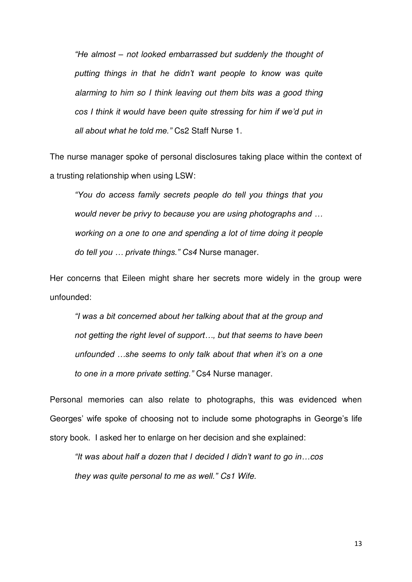*"He almost – not looked embarrassed but suddenly the thought of putting things in that he didn't want people to know was quite alarming to him so I think leaving out them bits was a good thing cos I think it would have been quite stressing for him if we'd put in all about what he told me."* Cs2 Staff Nurse 1.

The nurse manager spoke of personal disclosures taking place within the context of a trusting relationship when using LSW:

*"You do access family secrets people do tell you things that you would never be privy to because you are using photographs and … working on a one to one and spending a lot of time doing it people do tell you … private things." Cs4* Nurse manager.

Her concerns that Eileen might share her secrets more widely in the group were unfounded:

*"I was a bit concerned about her talking about that at the group and not getting the right level of support…, but that seems to have been unfounded …she seems to only talk about that when it's on a one to one in a more private setting."* Cs4 Nurse manager.

Personal memories can also relate to photographs, this was evidenced when Georges' wife spoke of choosing not to include some photographs in George's life story book. I asked her to enlarge on her decision and she explained:

*"It was about half a dozen that I decided I didn't want to go in…cos they was quite personal to me as well." Cs1 Wife.*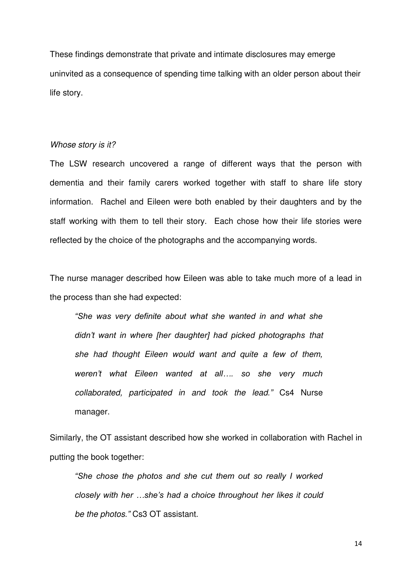These findings demonstrate that private and intimate disclosures may emerge uninvited as a consequence of spending time talking with an older person about their life story.

#### *Whose story is it?*

The LSW research uncovered a range of different ways that the person with dementia and their family carers worked together with staff to share life story information. Rachel and Eileen were both enabled by their daughters and by the staff working with them to tell their story. Each chose how their life stories were reflected by the choice of the photographs and the accompanying words.

The nurse manager described how Eileen was able to take much more of a lead in the process than she had expected:

*"She was very definite about what she wanted in and what she didn't want in where [her daughter] had picked photographs that she had thought Eileen would want and quite a few of them, weren't what Eileen wanted at all…. so she very much collaborated, participated in and took the lead."* Cs4 Nurse manager.

Similarly, the OT assistant described how she worked in collaboration with Rachel in putting the book together:

*"She chose the photos and she cut them out so really I worked closely with her …she's had a choice throughout her likes it could be the photos."* Cs3 OT assistant.

14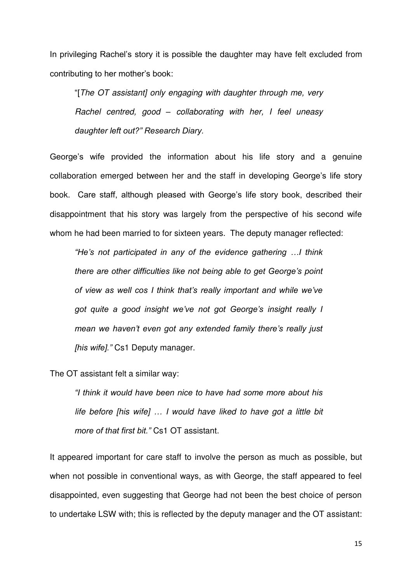In privileging Rachel's story it is possible the daughter may have felt excluded from contributing to her mother's book:

"[*The OT assistant] only engaging with daughter through me, very Rachel centred, good – collaborating with her, I feel uneasy daughter left out?" Research Diary.*

George's wife provided the information about his life story and a genuine collaboration emerged between her and the staff in developing George's life story book. Care staff, although pleased with George's life story book, described their disappointment that his story was largely from the perspective of his second wife whom he had been married to for sixteen years. The deputy manager reflected:

*"He's not participated in any of the evidence gathering …I think there are other difficulties like not being able to get George's point of view as well cos I think that's really important and while we've got quite a good insight we've not got George's insight really I mean we haven't even got any extended family there's really just [his wife]."* Cs1 Deputy manager.

The OT assistant felt a similar way:

*"I think it would have been nice to have had some more about his life before [his wife] … I would have liked to have got a little bit more of that first bit."* Cs1 OT assistant.

It appeared important for care staff to involve the person as much as possible, but when not possible in conventional ways, as with George, the staff appeared to feel disappointed, even suggesting that George had not been the best choice of person to undertake LSW with; this is reflected by the deputy manager and the OT assistant: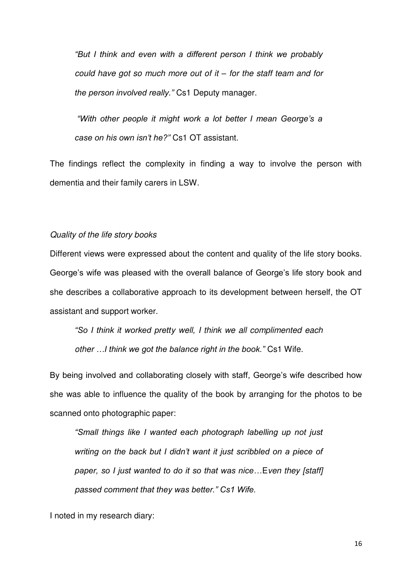*"But I think and even with a different person I think we probably could have got so much more out of it – for the staff team and for the person involved really."* Cs1 Deputy manager.

*"With other people it might work a lot better I mean George's a case on his own isn't he?"* Cs1 OT assistant.

The findings reflect the complexity in finding a way to involve the person with dementia and their family carers in LSW.

## *Quality of the life story books*

Different views were expressed about the content and quality of the life story books. George's wife was pleased with the overall balance of George's life story book and she describes a collaborative approach to its development between herself, the OT assistant and support worker.

*"So I think it worked pretty well, I think we all complimented each other …I think we got the balance right in the book."* Cs1 Wife.

By being involved and collaborating closely with staff, George's wife described how she was able to influence the quality of the book by arranging for the photos to be scanned onto photographic paper:

*"Small things like I wanted each photograph labelling up not just writing on the back but I didn't want it just scribbled on a piece of paper, so I just wanted to do it so that was nice…*E*ven they [staff] passed comment that they was better." Cs1 Wife.*

I noted in my research diary: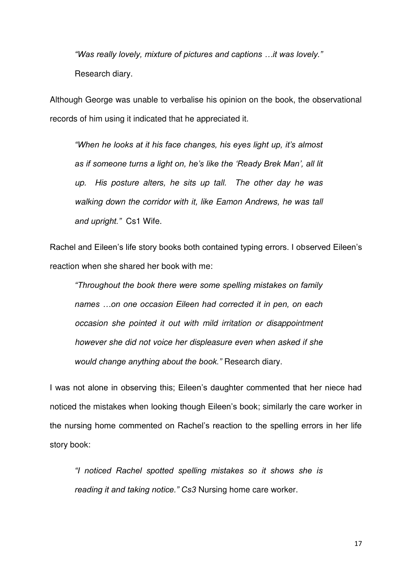*"Was really lovely, mixture of pictures and captions …it was lovely."*  Research diary.

Although George was unable to verbalise his opinion on the book, the observational records of him using it indicated that he appreciated it.

*"When he looks at it his face changes, his eyes light up, it's almost as if someone turns a light on, he's like the 'Ready Brek Man', all lit up. His posture alters, he sits up tall. The other day he was walking down the corridor with it, like Eamon Andrews, he was tall and upright."* Cs1 Wife.

Rachel and Eileen's life story books both contained typing errors. I observed Eileen's reaction when she shared her book with me:

*"Throughout the book there were some spelling mistakes on family names …on one occasion Eileen had corrected it in pen, on each occasion she pointed it out with mild irritation or disappointment however she did not voice her displeasure even when asked if she would change anything about the book."* Research diary.

I was not alone in observing this; Eileen's daughter commented that her niece had noticed the mistakes when looking though Eileen's book; similarly the care worker in the nursing home commented on Rachel's reaction to the spelling errors in her life story book:

*"I noticed Rachel spotted spelling mistakes so it shows she is reading it and taking notice." Cs3* Nursing home care worker.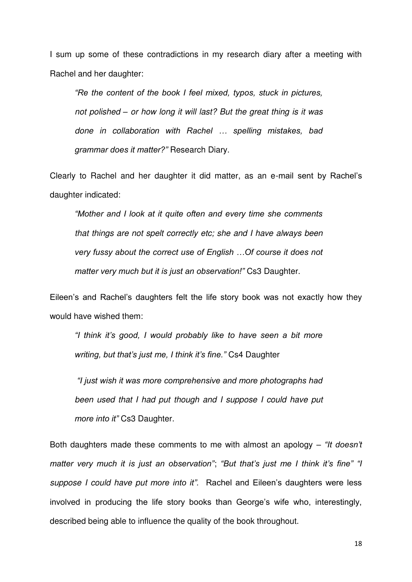I sum up some of these contradictions in my research diary after a meeting with Rachel and her daughter:

*"Re the content of the book I feel mixed, typos, stuck in pictures, not polished – or how long it will last? But the great thing is it was done in collaboration with Rachel … spelling mistakes, bad grammar does it matter?"* Research Diary.

Clearly to Rachel and her daughter it did matter, as an e-mail sent by Rachel's daughter indicated:

*"Mother and I look at it quite often and every time she comments that things are not spelt correctly etc; she and I have always been very fussy about the correct use of English …Of course it does not matter very much but it is just an observation!"* Cs3 Daughter.

Eileen's and Rachel's daughters felt the life story book was not exactly how they would have wished them:

*"I think it's good, I would probably like to have seen a bit more writing, but that's just me, I think it's fine."* Cs4 Daughter

*"I just wish it was more comprehensive and more photographs had been used that I had put though and I suppose I could have put more into it"* Cs3 Daughter.

Both daughters made these comments to me with almost an apology – *"It doesn't matter very much it is just an observation"*; *"But that's just me I think it's fine" "I suppose I could have put more into it".* Rachel and Eileen's daughters were less involved in producing the life story books than George's wife who, interestingly, described being able to influence the quality of the book throughout.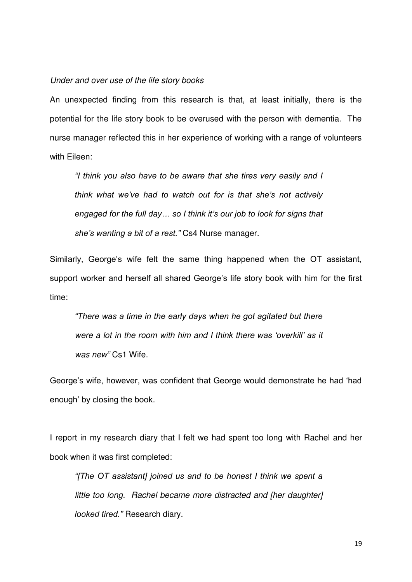# *Under and over use of the life story books*

An unexpected finding from this research is that, at least initially, there is the potential for the life story book to be overused with the person with dementia. The nurse manager reflected this in her experience of working with a range of volunteers with Fileen:

*"I think you also have to be aware that she tires very easily and I think what we've had to watch out for is that she's not actively engaged for the full day… so I think it's our job to look for signs that she's wanting a bit of a rest."* Cs4 Nurse manager.

Similarly, George's wife felt the same thing happened when the OT assistant, support worker and herself all shared George's life story book with him for the first time:

*"There was a time in the early days when he got agitated but there were a lot in the room with him and I think there was 'overkill' as it was new"* Cs1 Wife.

George's wife, however, was confident that George would demonstrate he had 'had enough' by closing the book.

I report in my research diary that I felt we had spent too long with Rachel and her book when it was first completed:

*"[The OT assistant] joined us and to be honest I think we spent a little too long. Rachel became more distracted and [her daughter] looked tired."* Research diary.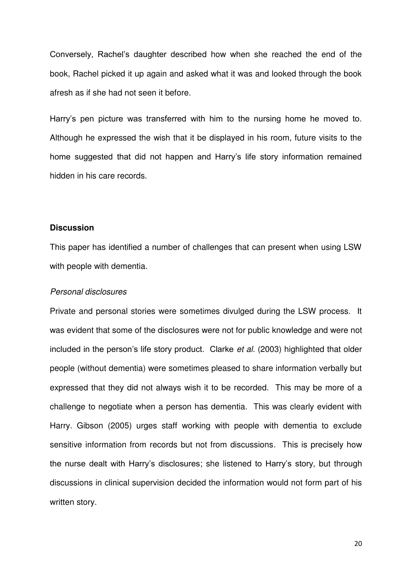Conversely, Rachel's daughter described how when she reached the end of the book, Rachel picked it up again and asked what it was and looked through the book afresh as if she had not seen it before.

Harry's pen picture was transferred with him to the nursing home he moved to. Although he expressed the wish that it be displayed in his room, future visits to the home suggested that did not happen and Harry's life story information remained hidden in his care records.

# **Discussion**

This paper has identified a number of challenges that can present when using LSW with people with dementia.

### *Personal disclosures*

Private and personal stories were sometimes divulged during the LSW process. It was evident that some of the disclosures were not for public knowledge and were not included in the person's life story product. Clarke *et al.* (2003) highlighted that older people (without dementia) were sometimes pleased to share information verbally but expressed that they did not always wish it to be recorded. This may be more of a challenge to negotiate when a person has dementia. This was clearly evident with Harry. Gibson (2005) urges staff working with people with dementia to exclude sensitive information from records but not from discussions. This is precisely how the nurse dealt with Harry's disclosures; she listened to Harry's story, but through discussions in clinical supervision decided the information would not form part of his written story.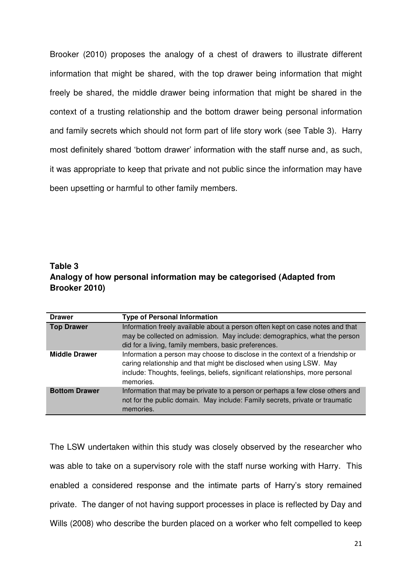Brooker (2010) proposes the analogy of a chest of drawers to illustrate different information that might be shared, with the top drawer being information that might freely be shared, the middle drawer being information that might be shared in the context of a trusting relationship and the bottom drawer being personal information and family secrets which should not form part of life story work (see Table 3). Harry most definitely shared 'bottom drawer' information with the staff nurse and, as such, it was appropriate to keep that private and not public since the information may have been upsetting or harmful to other family members.

# **Table 3 Analogy of how personal information may be categorised (Adapted from Brooker 2010)**

| <b>Drawer</b>        | <b>Type of Personal Information</b>                                                                                                                                                                                                                 |
|----------------------|-----------------------------------------------------------------------------------------------------------------------------------------------------------------------------------------------------------------------------------------------------|
| <b>Top Drawer</b>    | Information freely available about a person often kept on case notes and that<br>may be collected on admission. May include: demographics, what the person<br>did for a living, family members, basic preferences.                                  |
| <b>Middle Drawer</b> | Information a person may choose to disclose in the context of a friendship or<br>caring relationship and that might be disclosed when using LSW. May<br>include: Thoughts, feelings, beliefs, significant relationships, more personal<br>memories. |
| <b>Bottom Drawer</b> | Information that may be private to a person or perhaps a few close others and<br>not for the public domain. May include: Family secrets, private or traumatic<br>memories.                                                                          |

The LSW undertaken within this study was closely observed by the researcher who was able to take on a supervisory role with the staff nurse working with Harry. This enabled a considered response and the intimate parts of Harry's story remained private. The danger of not having support processes in place is reflected by Day and Wills (2008) who describe the burden placed on a worker who felt compelled to keep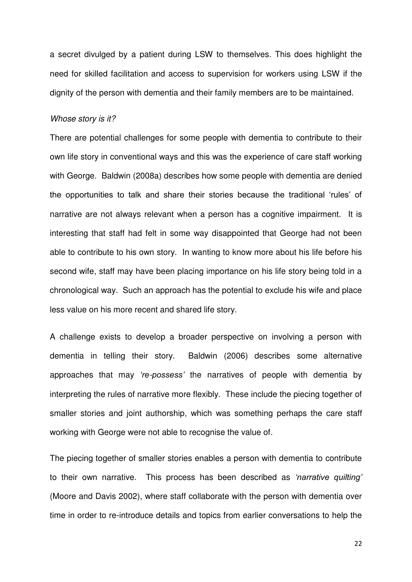a secret divulged by a patient during LSW to themselves. This does highlight the need for skilled facilitation and access to supervision for workers using LSW if the dignity of the person with dementia and their family members are to be maintained.

#### *Whose story is it?*

There are potential challenges for some people with dementia to contribute to their own life story in conventional ways and this was the experience of care staff working with George. Baldwin (2008a) describes how some people with dementia are denied the opportunities to talk and share their stories because the traditional 'rules' of narrative are not always relevant when a person has a cognitive impairment. It is interesting that staff had felt in some way disappointed that George had not been able to contribute to his own story. In wanting to know more about his life before his second wife, staff may have been placing importance on his life story being told in a chronological way. Such an approach has the potential to exclude his wife and place less value on his more recent and shared life story.

A challenge exists to develop a broader perspective on involving a person with dementia in telling their story. Baldwin (2006) describes some alternative approaches that may *'re-possess'* the narratives of people with dementia by interpreting the rules of narrative more flexibly. These include the piecing together of smaller stories and joint authorship, which was something perhaps the care staff working with George were not able to recognise the value of.

The piecing together of smaller stories enables a person with dementia to contribute to their own narrative. This process has been described as *'narrative quilting'* (Moore and Davis 2002), where staff collaborate with the person with dementia over time in order to re-introduce details and topics from earlier conversations to help the

22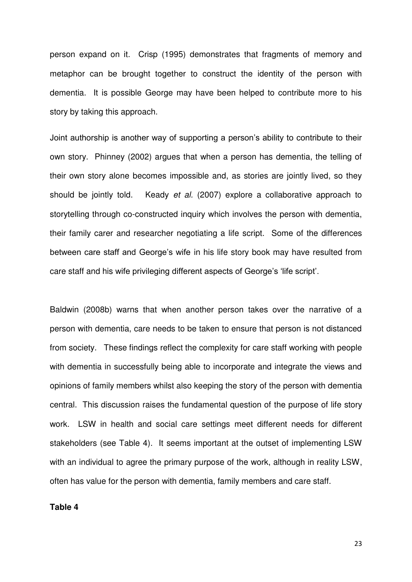person expand on it. Crisp (1995) demonstrates that fragments of memory and metaphor can be brought together to construct the identity of the person with dementia. It is possible George may have been helped to contribute more to his story by taking this approach.

Joint authorship is another way of supporting a person's ability to contribute to their own story. Phinney (2002) argues that when a person has dementia, the telling of their own story alone becomes impossible and, as stories are jointly lived, so they should be jointly told. Keady *et al.* (2007) explore a collaborative approach to storytelling through co-constructed inquiry which involves the person with dementia, their family carer and researcher negotiating a life script. Some of the differences between care staff and George's wife in his life story book may have resulted from care staff and his wife privileging different aspects of George's 'life script'.

Baldwin (2008b) warns that when another person takes over the narrative of a person with dementia, care needs to be taken to ensure that person is not distanced from society. These findings reflect the complexity for care staff working with people with dementia in successfully being able to incorporate and integrate the views and opinions of family members whilst also keeping the story of the person with dementia central. This discussion raises the fundamental question of the purpose of life story work. LSW in health and social care settings meet different needs for different stakeholders (see Table 4). It seems important at the outset of implementing LSW with an individual to agree the primary purpose of the work, although in reality LSW, often has value for the person with dementia, family members and care staff.

**Table 4** 

23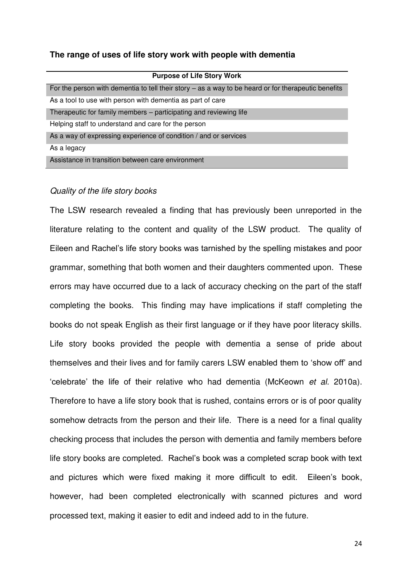# **The range of uses of life story work with people with dementia**

| <b>Purpose of Life Story Work</b>                                                                   |
|-----------------------------------------------------------------------------------------------------|
| For the person with dementia to tell their story – as a way to be heard or for therapeutic benefits |
| As a tool to use with person with dementia as part of care                                          |
| Therapeutic for family members – participating and reviewing life                                   |
| Helping staff to understand and care for the person                                                 |
| As a way of expressing experience of condition / and or services                                    |
| As a legacy                                                                                         |
| Assistance in transition between care environment                                                   |

# *Quality of the life story books*

The LSW research revealed a finding that has previously been unreported in the literature relating to the content and quality of the LSW product. The quality of Eileen and Rachel's life story books was tarnished by the spelling mistakes and poor grammar, something that both women and their daughters commented upon. These errors may have occurred due to a lack of accuracy checking on the part of the staff completing the books. This finding may have implications if staff completing the books do not speak English as their first language or if they have poor literacy skills. Life story books provided the people with dementia a sense of pride about themselves and their lives and for family carers LSW enabled them to 'show off' and 'celebrate' the life of their relative who had dementia (McKeown *et al.* 2010a). Therefore to have a life story book that is rushed, contains errors or is of poor quality somehow detracts from the person and their life. There is a need for a final quality checking process that includes the person with dementia and family members before life story books are completed. Rachel's book was a completed scrap book with text and pictures which were fixed making it more difficult to edit. Eileen's book, however, had been completed electronically with scanned pictures and word processed text, making it easier to edit and indeed add to in the future.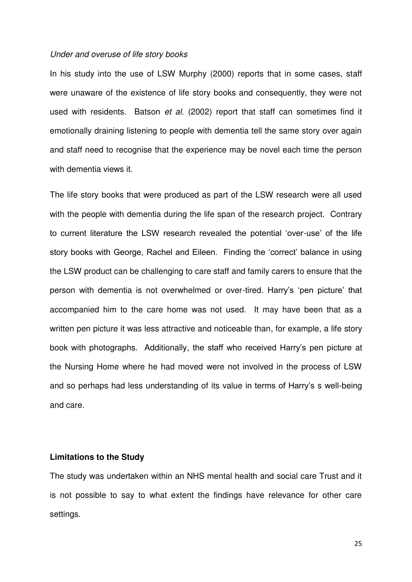#### *Under and overuse of life story books*

In his study into the use of LSW Murphy (2000) reports that in some cases, staff were unaware of the existence of life story books and consequently, they were not used with residents. Batson *et al.* (2002) report that staff can sometimes find it emotionally draining listening to people with dementia tell the same story over again and staff need to recognise that the experience may be novel each time the person with dementia views it.

The life story books that were produced as part of the LSW research were all used with the people with dementia during the life span of the research project. Contrary to current literature the LSW research revealed the potential 'over-use' of the life story books with George, Rachel and Eileen. Finding the 'correct' balance in using the LSW product can be challenging to care staff and family carers to ensure that the person with dementia is not overwhelmed or over-tired. Harry's 'pen picture' that accompanied him to the care home was not used. It may have been that as a written pen picture it was less attractive and noticeable than, for example, a life story book with photographs. Additionally, the staff who received Harry's pen picture at the Nursing Home where he had moved were not involved in the process of LSW and so perhaps had less understanding of its value in terms of Harry's s well-being and care.

## **Limitations to the Study**

The study was undertaken within an NHS mental health and social care Trust and it is not possible to say to what extent the findings have relevance for other care settings.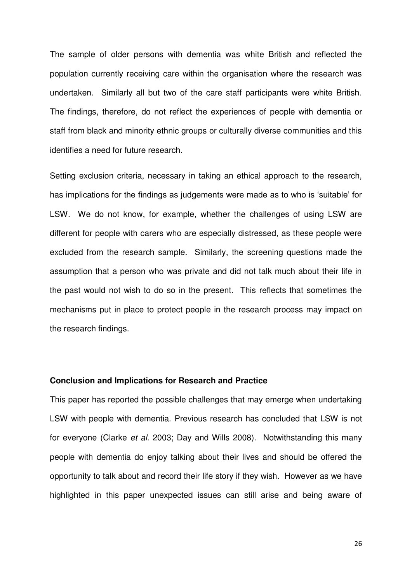The sample of older persons with dementia was white British and reflected the population currently receiving care within the organisation where the research was undertaken. Similarly all but two of the care staff participants were white British. The findings, therefore, do not reflect the experiences of people with dementia or staff from black and minority ethnic groups or culturally diverse communities and this identifies a need for future research.

Setting exclusion criteria, necessary in taking an ethical approach to the research, has implications for the findings as judgements were made as to who is 'suitable' for LSW. We do not know, for example, whether the challenges of using LSW are different for people with carers who are especially distressed, as these people were excluded from the research sample. Similarly, the screening questions made the assumption that a person who was private and did not talk much about their life in the past would not wish to do so in the present. This reflects that sometimes the mechanisms put in place to protect people in the research process may impact on the research findings.

## **Conclusion and Implications for Research and Practice**

This paper has reported the possible challenges that may emerge when undertaking LSW with people with dementia. Previous research has concluded that LSW is not for everyone (Clarke *et al.* 2003; Day and Wills 2008). Notwithstanding this many people with dementia do enjoy talking about their lives and should be offered the opportunity to talk about and record their life story if they wish. However as we have highlighted in this paper unexpected issues can still arise and being aware of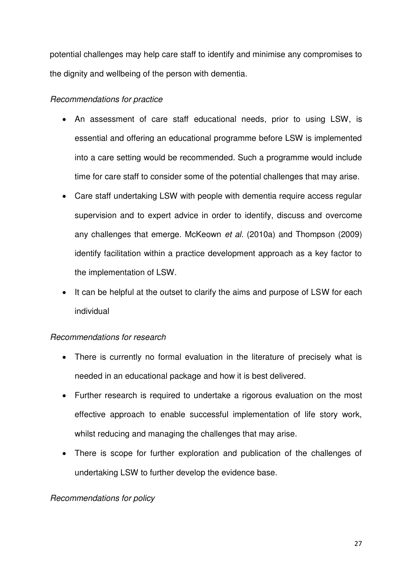potential challenges may help care staff to identify and minimise any compromises to the dignity and wellbeing of the person with dementia.

# *Recommendations for practice*

- An assessment of care staff educational needs, prior to using LSW, is essential and offering an educational programme before LSW is implemented into a care setting would be recommended. Such a programme would include time for care staff to consider some of the potential challenges that may arise.
- Care staff undertaking LSW with people with dementia require access regular supervision and to expert advice in order to identify, discuss and overcome any challenges that emerge. McKeown *et al.* (2010a) and Thompson (2009) identify facilitation within a practice development approach as a key factor to the implementation of LSW.
- It can be helpful at the outset to clarify the aims and purpose of LSW for each individual

# *Recommendations for research*

- There is currently no formal evaluation in the literature of precisely what is needed in an educational package and how it is best delivered.
- Further research is required to undertake a rigorous evaluation on the most effective approach to enable successful implementation of life story work, whilst reducing and managing the challenges that may arise.
- There is scope for further exploration and publication of the challenges of undertaking LSW to further develop the evidence base.

# *Recommendations for policy*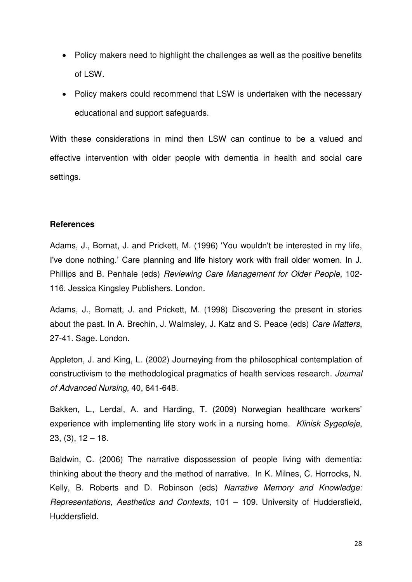- Policy makers need to highlight the challenges as well as the positive benefits of LSW.
- Policy makers could recommend that LSW is undertaken with the necessary educational and support safeguards.

With these considerations in mind then LSW can continue to be a valued and effective intervention with older people with dementia in health and social care settings.

# **References**

Adams, J., Bornat, J. and Prickett, M. (1996) 'You wouldn't be interested in my life, I've done nothing.' Care planning and life history work with frail older women. In J. Phillips and B. Penhale (eds) *Reviewing Care Management for Older People*, 102- 116. Jessica Kingsley Publishers. London.

Adams, J., Bornatt, J. and Prickett, M. (1998) Discovering the present in stories about the past. In A. Brechin, J. Walmsley, J. Katz and S. Peace (eds) *Care Matters*, 27-41. Sage. London.

Appleton, J. and King, L. (2002) Journeying from the philosophical contemplation of constructivism to the methodological pragmatics of health services research. *Journal of Advanced Nursing,* 40, 641-648.

Bakken, L., Lerdal, A. and Harding, T. (2009) Norwegian healthcare workers' experience with implementing life story work in a nursing home. *Klinisk Sygepleje*,  $23, (3), 12 - 18.$ 

Baldwin, C. (2006) The narrative dispossession of people living with dementia: thinking about the theory and the method of narrative. In K. Milnes, C. Horrocks, N. Kelly, B. Roberts and D. Robinson (eds) *Narrative Memory and Knowledge: Representations, Aesthetics and Contexts,* 101 – 109. University of Huddersfield, Huddersfield.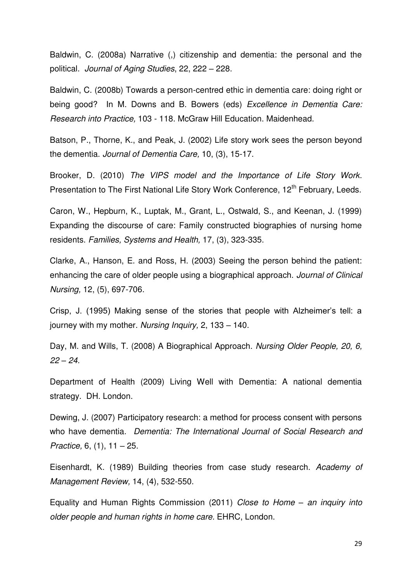Baldwin, C. (2008a) Narrative (,) citizenship and dementia: the personal and the political. *Journal of Aging Studies*, 22, 222 – 228.

Baldwin, C. (2008b) Towards a person-centred ethic in dementia care: doing right or being good? In M. Downs and B. Bowers (eds) *Excellence in Dementia Care: Research into Practice,* 103 - 118. McGraw Hill Education. Maidenhead.

Batson, P., Thorne, K., and Peak, J. (2002) Life story work sees the person beyond the dementia. *Journal of Dementia Care,* 10, (3), 15-17.

Brooker, D. (2010) *The VIPS model and the Importance of Life Story Work*. Presentation to The First National Life Story Work Conference, 12<sup>th</sup> February, Leeds.

Caron, W., Hepburn, K., Luptak, M., Grant, L., Ostwald, S., and Keenan, J. (1999) Expanding the discourse of care: Family constructed biographies of nursing home residents. *Families, Systems and Health,* 17, (3), 323-335.

Clarke, A., Hanson, E. and Ross, H. (2003) Seeing the person behind the patient: enhancing the care of older people using a biographical approach. *Journal of Clinical Nursing,* 12, (5), 697-706.

Crisp, J. (1995) Making sense of the stories that people with Alzheimer's tell: a journey with my mother. *Nursing Inquiry,* 2, 133 – 140.

Day, M. and Wills, T. (2008) A Biographical Approach. *Nursing Older People, 20, 6, 22 – 24.* 

Department of Health (2009) Living Well with Dementia: A national dementia strategy. DH. London.

Dewing, J. (2007) Participatory research: a method for process consent with persons who have dementia. *Dementia: The International Journal of Social Research and Practice,* 6, (1), 11 – 25.

Eisenhardt, K. (1989) Building theories from case study research. *Academy of Management Review,* 14, (4), 532-550.

Equality and Human Rights Commission (2011) *Close to Home – an inquiry into older people and human rights in home care.* EHRC, London.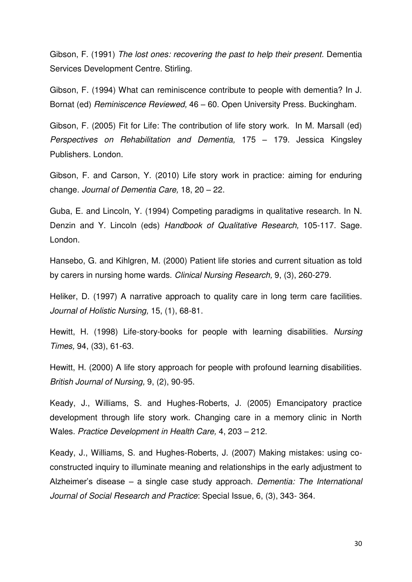Gibson, F. (1991) *The lost ones: recovering the past to help their present*. Dementia Services Development Centre. Stirling.

Gibson, F. (1994) What can reminiscence contribute to people with dementia? In J. Bornat (ed) *Reminiscence Reviewed,* 46 – 60. Open University Press. Buckingham.

Gibson, F. (2005) Fit for Life: The contribution of life story work. In M. Marsall (ed) *Perspectives on Rehabilitation and Dementia,* 175 – 179. Jessica Kingsley Publishers. London.

Gibson, F. and Carson, Y. (2010) Life story work in practice: aiming for enduring change. *Journal of Dementia Care,* 18, 20 – 22.

Guba, E. and Lincoln, Y. (1994) Competing paradigms in qualitative research. In N. Denzin and Y. Lincoln (eds) *Handbook of Qualitative Research,* 105-117. Sage. London.

Hansebo, G. and Kihlgren, M. (2000) Patient life stories and current situation as told by carers in nursing home wards. *Clinical Nursing Research,* 9, (3), 260-279.

Heliker, D. (1997) A narrative approach to quality care in long term care facilities. *Journal of Holistic Nursing,* 15, (1), 68-81.

Hewitt, H. (1998) Life-story-books for people with learning disabilities. *Nursing Times,* 94, (33), 61-63.

Hewitt, H. (2000) A life story approach for people with profound learning disabilities. *British Journal of Nursing,* 9, (2), 90-95.

Keady, J., Williams, S. and Hughes-Roberts, J. (2005) Emancipatory practice development through life story work. Changing care in a memory clinic in North Wales. *Practice Development in Health Care,* 4, 203 – 212.

Keady, J., Williams, S. and Hughes-Roberts, J. (2007) Making mistakes: using coconstructed inquiry to illuminate meaning and relationships in the early adjustment to Alzheimer's disease – a single case study approach. *Dementia: The International Journal of Social Research and Practice*: Special Issue, 6, (3), 343- 364.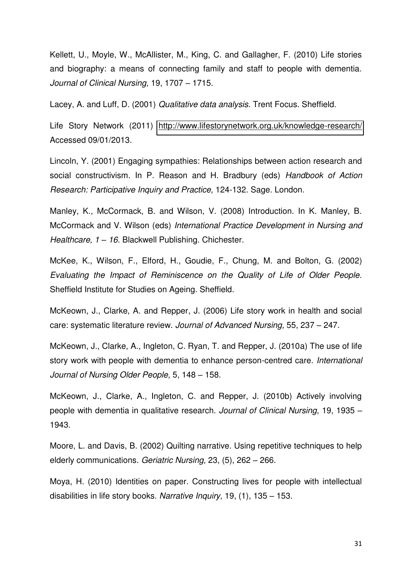Kellett, U., Moyle, W., McAllister, M., King, C. and Gallagher, F. (2010) Life stories and biography: a means of connecting family and staff to people with dementia. *Journal of Clinical Nursing,* 19, 1707 – 1715.

Lacey, A. and Luff, D. (2001) *Qualitative data analysis*. Trent Focus. Sheffield.

Life Story Network (2011) <http://www.lifestorynetwork.org.uk/knowledge-research/> Accessed 09/01/2013.

Lincoln, Y. (2001) Engaging sympathies: Relationships between action research and social constructivism. In P. Reason and H. Bradbury (eds) *Handbook of Action Research: Participative Inquiry and Practice,* 124-132. Sage. London.

Manley, K., McCormack, B. and Wilson, V. (2008) Introduction. In K. Manley, B. McCormack and V. Wilson (eds) *International Practice Development in Nursing and Healthcare, 1 – 16.* Blackwell Publishing. Chichester.

McKee, K., Wilson, F., Elford, H., Goudie, F., Chung, M. and Bolton, G. (2002) *Evaluating the Impact of Reminiscence on the Quality of Life of Older People.* Sheffield Institute for Studies on Ageing. Sheffield.

McKeown, J., Clarke, A. and Repper, J. (2006) Life story work in health and social care: systematic literature review. *Journal of Advanced Nursing,* 55, 237 – 247.

McKeown, J., Clarke, A., Ingleton, C. Ryan, T. and Repper, J. (2010a) The use of life story work with people with dementia to enhance person-centred care. *International Journal of Nursing Older People,* 5, 148 – 158.

McKeown, J., Clarke, A., Ingleton, C. and Repper, J. (2010b) Actively involving people with dementia in qualitative research. *Journal of Clinical Nursing,* 19, 1935 – 1943.

Moore, L. and Davis, B. (2002) Quilting narrative. Using repetitive techniques to help elderly communications. *Geriatric Nursing,* 23, (5), 262 – 266.

Moya, H. (2010) Identities on paper. Constructing lives for people with intellectual disabilities in life story books. *Narrative Inquiry,* 19, (1), 135 – 153.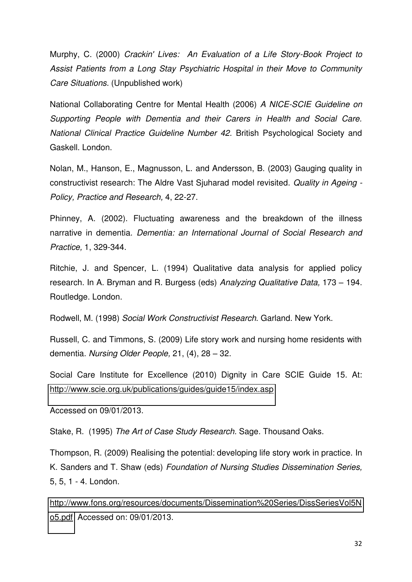Murphy, C. (2000) *Crackin' Lives: An Evaluation of a Life Story-Book Project to Assist Patients from a Long Stay Psychiatric Hospital in their Move to Community Care Situations*. (Unpublished work)

National Collaborating Centre for Mental Health (2006) *A NICE-SCIE Guideline on Supporting People with Dementia and their Carers in Health and Social Care. National Clinical Practice Guideline Number 42.* British Psychological Society and Gaskell. London.

Nolan, M., Hanson, E., Magnusson, L. and Andersson, B. (2003) Gauging quality in constructivist research: The Aldre Vast Sjuharad model revisited. *Quality in Ageing - Policy, Practice and Research,* 4, 22-27.

Phinney, A. (2002). Fluctuating awareness and the breakdown of the illness narrative in dementia. *Dementia: an International Journal of Social Research and Practice,* 1, 329-344.

Ritchie, J. and Spencer, L. (1994) Qualitative data analysis for applied policy research. In A. Bryman and R. Burgess (eds) *Analyzing Qualitative Data,* 173 – 194. Routledge. London.

Rodwell, M. (1998) *Social Work Constructivist Research*. Garland. New York.

Russell, C. and Timmons, S. (2009) Life story work and nursing home residents with dementia. *Nursing Older People,* 21, (4), 28 – 32.

Social Care Institute for Excellence (2010) Dignity in Care SCIE Guide 15. At: <http://www.scie.org.uk/publications/guides/guide15/index.asp>

Accessed on 09/01/2013.

Stake, R. (1995) *The Art of Case Study Research.* Sage. Thousand Oaks.

Thompson, R. (2009) Realising the potential: developing life story work in practice. In K. Sanders and T. Shaw (eds) *Foundation of Nursing Studies Dissemination Series,*  5, 5, 1 - 4. London.

[http://www.fons.org/resources/documents/Dissemination%20Series/DissSeriesVol5N](http://www.fons.org/resources/documents/Dissemination%20Series/DissSeriesVol5No5.pdf) [o5.pdf](http://www.fons.org/resources/documents/Dissemination%20Series/DissSeriesVol5No5.pdf) Accessed on: 09/01/2013.